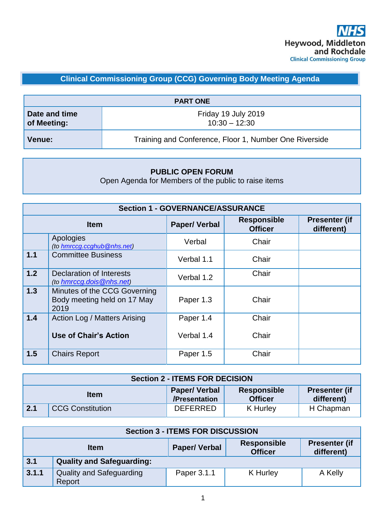# **Clinical Commissioning Group (CCG) Governing Body Meeting Agenda**

| <b>PART ONE</b>              |                                                        |  |
|------------------------------|--------------------------------------------------------|--|
| Date and time<br>of Meeting: | Friday 19 July 2019<br>$10:30 - 12:30$                 |  |
| Venue:                       | Training and Conference, Floor 1, Number One Riverside |  |

### **PUBLIC OPEN FORUM**

Open Agenda for Members of the public to raise items

| <b>Section 1 - GOVERNANCE/ASSURANCE</b> |                                                                     |                     |                                      |                                    |
|-----------------------------------------|---------------------------------------------------------------------|---------------------|--------------------------------------|------------------------------------|
| <b>Item</b>                             |                                                                     | <b>Paper/Verbal</b> | <b>Responsible</b><br><b>Officer</b> | <b>Presenter (if</b><br>different) |
|                                         | Apologies<br>(to hmrccg.ccghub@nhs.net)                             | Verbal              | Chair                                |                                    |
| 1.1                                     | <b>Committee Business</b>                                           | Verbal 1.1          | Chair                                |                                    |
| 1.2                                     | Declaration of Interests<br>(to hmrccg.dois@nhs.net)                | Verbal 1.2          | Chair                                |                                    |
| 1.3                                     | Minutes of the CCG Governing<br>Body meeting held on 17 May<br>2019 | Paper 1.3           | Chair                                |                                    |
| 1.4                                     | Action Log / Matters Arising                                        | Paper 1.4           | Chair                                |                                    |
|                                         | Use of Chair's Action                                               | Verbal 1.4          | Chair                                |                                    |
| 1.5                                     | <b>Chairs Report</b>                                                | Paper 1.5           | Chair                                |                                    |

| <b>Section 2 - ITEMS FOR DECISION</b> |                         |                                      |                                      |                                    |
|---------------------------------------|-------------------------|--------------------------------------|--------------------------------------|------------------------------------|
|                                       | <b>Item</b>             | <b>Paper/Verbal</b><br>/Presentation | <b>Responsible</b><br><b>Officer</b> | <b>Presenter (if</b><br>different) |
| 2.1                                   | <b>CCG Constitution</b> | <b>DEFERRED</b>                      | K Hurley                             | H Chapman                          |

| <b>Section 3 - ITEMS FOR DISCUSSION</b> |                                                                                                                  |             |          |         |
|-----------------------------------------|------------------------------------------------------------------------------------------------------------------|-------------|----------|---------|
|                                         | <b>Presenter (if</b><br><b>Responsible</b><br><b>Paper/Verbal</b><br><b>Item</b><br><b>Officer</b><br>different) |             |          |         |
| 3.1                                     | <b>Quality and Safeguarding:</b>                                                                                 |             |          |         |
| 3.1.1                                   | <b>Quality and Safeguarding</b><br>Report                                                                        | Paper 3.1.1 | K Hurley | A Kelly |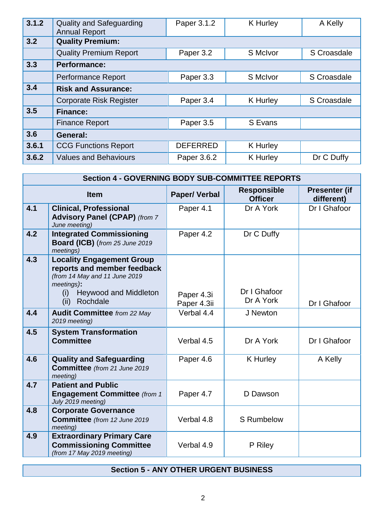| 3.1.2 | <b>Quality and Safeguarding</b><br><b>Annual Report</b> | Paper 3.1.2     | <b>K</b> Hurley | A Kelly     |
|-------|---------------------------------------------------------|-----------------|-----------------|-------------|
| 3.2   | <b>Quality Premium:</b>                                 |                 |                 |             |
|       | <b>Quality Premium Report</b>                           | Paper 3.2       | S McIvor        | S Croasdale |
| 3.3   | <b>Performance:</b>                                     |                 |                 |             |
|       | <b>Performance Report</b>                               | Paper 3.3       | S McIvor        | S Croasdale |
| 3.4   | <b>Risk and Assurance:</b>                              |                 |                 |             |
|       | <b>Corporate Risk Register</b>                          | Paper 3.4       | <b>K</b> Hurley | S Croasdale |
| 3.5   | <b>Finance:</b>                                         |                 |                 |             |
|       | <b>Finance Report</b>                                   | Paper 3.5       | S Evans         |             |
| 3.6   | General:                                                |                 |                 |             |
| 3.6.1 | <b>CCG Functions Report</b>                             | <b>DEFERRED</b> | <b>K</b> Hurley |             |
| 3.6.2 | <b>Values and Behaviours</b>                            | Paper 3.6.2     | <b>K</b> Hurley | Dr C Duffy  |

|             | <b>Section 4 - GOVERNING BODY SUB-COMMITTEE REPORTS</b>                                                                                                                   |                           |                                      |                                    |  |
|-------------|---------------------------------------------------------------------------------------------------------------------------------------------------------------------------|---------------------------|--------------------------------------|------------------------------------|--|
| <b>Item</b> |                                                                                                                                                                           | <b>Paper/Verbal</b>       | <b>Responsible</b><br><b>Officer</b> | <b>Presenter (if</b><br>different) |  |
| 4.1         | <b>Clinical, Professional</b><br><b>Advisory Panel (CPAP)</b> (from 7<br>June meeting)                                                                                    | Paper 4.1                 | Dr A York                            | Dr I Ghafoor                       |  |
| 4.2         | <b>Integrated Commissioning</b><br>Board (ICB) (from 25 June 2019<br>meetings)                                                                                            | Paper 4.2                 | Dr C Duffy                           |                                    |  |
| 4.3         | <b>Locality Engagement Group</b><br>reports and member feedback<br>(from 14 May and 11 June 2019<br>meetings):<br><b>Heywood and Middleton</b><br>(i)<br>Rochdale<br>(ii) | Paper 4.3i<br>Paper 4.3ii | Dr I Ghafoor<br>Dr A York            | Dr I Ghafoor                       |  |
| 4.4         | <b>Audit Committee</b> from 22 May<br>2019 meeting)                                                                                                                       | Verbal 4.4                | J Newton                             |                                    |  |
| 4.5         | <b>System Transformation</b><br><b>Committee</b>                                                                                                                          | Verbal 4.5                | Dr A York                            | Dr I Ghafoor                       |  |
| 4.6         | <b>Quality and Safeguarding</b><br><b>Committee</b> (from 21 June 2019<br>meeting)                                                                                        | Paper 4.6                 | K Hurley                             | A Kelly                            |  |
| 4.7         | <b>Patient and Public</b><br><b>Engagement Committee (from 1</b><br>July 2019 meeting)                                                                                    | Paper 4.7                 | D Dawson                             |                                    |  |
| 4.8         | <b>Corporate Governance</b><br><b>Committee</b> (from 12 June 2019<br>meeting)                                                                                            | Verbal 4.8                | <b>S</b> Rumbelow                    |                                    |  |
| 4.9         | <b>Extraordinary Primary Care</b><br><b>Commissioning Committee</b><br>(from 17 May 2019 meeting)                                                                         | Verbal 4.9                | P Riley                              |                                    |  |

## **Section 5 - ANY OTHER URGENT BUSINESS**